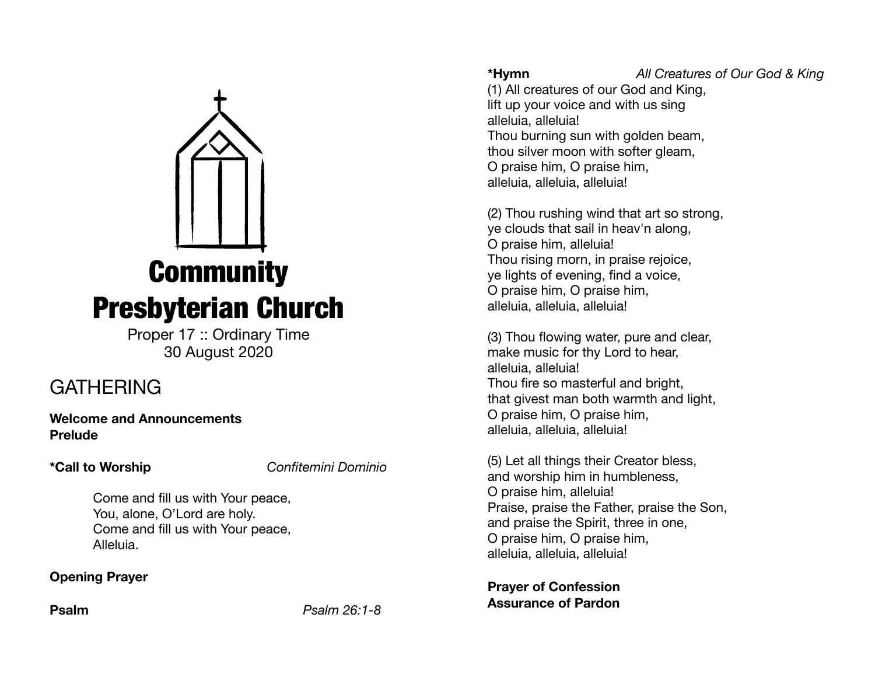

Proper 17 :: Ordinary Time 30 August 2020

# **GATHERING**

**Welcome and Announcements Prelude** 

**\*Call to Worship** *Confitemini Dominio*

Come and fill us with Your peace, You, alone, O'Lord are holy. Come and fill us with Your peace, Alleluia.

## **Opening Prayer**

**Psalm** *Psalm 26:1-8* 

**\*Hymn** *All Creatures of Our God & King*

(1) All creatures of our God and King, lift up your voice and with us sing alleluia, alleluia! Thou burning sun with golden beam, thou silver moon with softer gleam, O praise him, O praise him, alleluia, alleluia, alleluia!

(2) Thou rushing wind that art so strong, ye clouds that sail in heav'n along, O praise him, alleluia! Thou rising morn, in praise rejoice, ye lights of evening, find a voice, O praise him, O praise him, alleluia, alleluia, alleluia!

(3) Thou flowing water, pure and clear, make music for thy Lord to hear, alleluia, alleluia! Thou fire so masterful and bright, that givest man both warmth and light, O praise him, O praise him, alleluia, alleluia, alleluia!

(5) Let all things their Creator bless, and worship him in humbleness, O praise him, alleluia! Praise, praise the Father, praise the Son, and praise the Spirit, three in one, O praise him, O praise him, alleluia, alleluia, alleluia!

**Prayer of Confession Assurance of Pardon**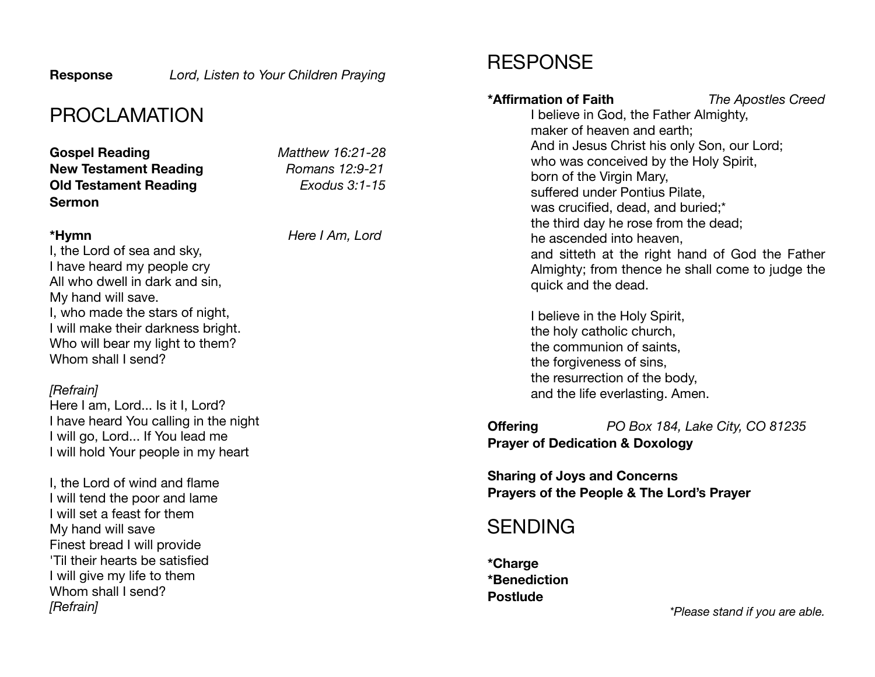**Response** *Lord, Listen to Your Children Praying*

## PROCLAMATION

**Gospel Reading** *Matthew 16:21-28* **New Testament Reading** *Romans 12:9-21*  **Old Testament Reading** *Exodus 3:1-15* **Sermon** 

**\*Hymn** *Here I Am, Lord*

I, the Lord of sea and sky, I have heard my people cry All who dwell in dark and sin, My hand will save. I, who made the stars of night, I will make their darkness bright. Who will bear my light to them? Whom shall I send?

## *[Refrain]*

Here I am, Lord... Is it I, Lord? I have heard You calling in the night I will go, Lord... If You lead me I will hold Your people in my heart

I, the Lord of wind and flame I will tend the poor and lame I will set a feast for them My hand will save Finest bread I will provide 'Til their hearts be satisfied I will give my life to them Whom shall I send? *[Refrain]* 

## RESPONSE

## **\*Affirmation of Faith** *The Apostles Creed* I believe in God, the Father Almighty, maker of heaven and earth; And in Jesus Christ his only Son, our Lord; who was conceived by the Holy Spirit, born of the Virgin Mary, suffered under Pontius Pilate, was crucified, dead, and buried;\* the third day he rose from the dead; he ascended into heaven, and sitteth at the right hand of God the Father Almighty; from thence he shall come to judge the quick and the dead. I believe in the Holy Spirit, the holy catholic church, the communion of saints, the forgiveness of sins, the resurrection of the body, and the life everlasting. Amen.

**Offering** *PO Box 184, Lake City, CO 81235*  **Prayer of Dedication & Doxology** 

**Sharing of Joys and Concerns Prayers of the People & The Lord's Prayer**

## **SENDING**

**\*Charge \*Benediction Postlude** 

*\*Please stand if you are able.*